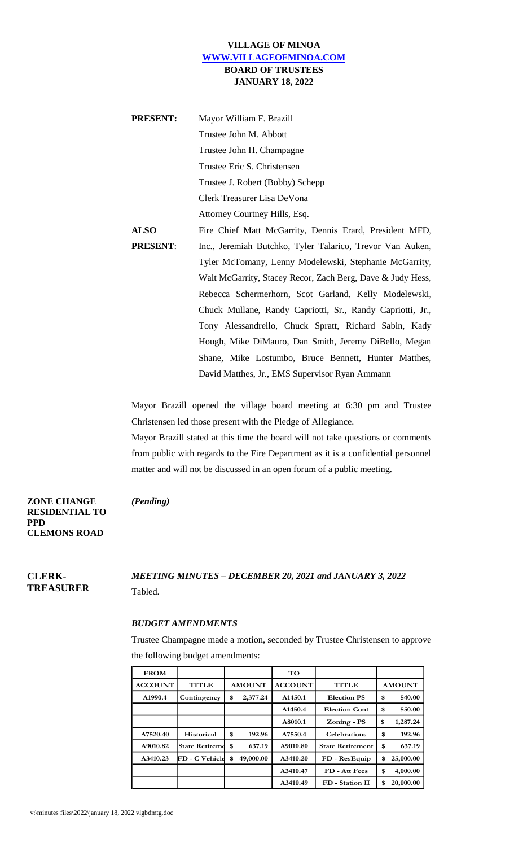## **VILLAGE OF MINOA [WWW.VILLAGEOFMINOA.COM](http://www.villageofminoa.com/) BOARD OF TRUSTEES JANUARY 18, 2022**

| <b>PRESENT:</b> | Mayor William F. Brazill                                   |
|-----------------|------------------------------------------------------------|
|                 | Trustee John M. Abbott                                     |
|                 | Trustee John H. Champagne                                  |
|                 | Trustee Eric S. Christensen                                |
|                 | Trustee J. Robert (Bobby) Schepp                           |
|                 | Clerk Treasurer Lisa DeVona                                |
|                 | Attorney Courtney Hills, Esq.                              |
| <b>ALSO</b>     | Fire Chief Matt McGarrity, Dennis Erard, President MFD,    |
| <b>PRESENT:</b> | Inc., Jeremiah Butchko, Tyler Talarico, Trevor Van Auken,  |
|                 | Tyler McTomany, Lenny Modelewski, Stephanie McGarrity,     |
|                 | Walt McGarrity, Stacey Recor, Zach Berg, Dave & Judy Hess, |
|                 | Rebecca Schermerhorn, Scot Garland, Kelly Modelewski,      |
|                 | Chuck Mullane, Randy Capriotti, Sr., Randy Capriotti, Jr., |
|                 | Tony Alessandrello, Chuck Spratt, Richard Sabin, Kady      |
|                 | Hough, Mike DiMauro, Dan Smith, Jeremy DiBello, Megan      |
|                 | Shane, Mike Lostumbo, Bruce Bennett, Hunter Matthes,       |
|                 | David Matthes, Jr., EMS Supervisor Ryan Ammann             |

Mayor Brazill opened the village board meeting at 6:30 pm and Trustee Christensen led those present with the Pledge of Allegiance.

Mayor Brazill stated at this time the board will not take questions or comments from public with regards to the Fire Department as it is a confidential personnel matter and will not be discussed in an open forum of a public meeting.

### *(Pending)*

**ZONE CHANGE RESIDENTIAL TO PPD CLEMONS ROAD**

**CLERK-TREASURER** *MEETING MINUTES – DECEMBER 20, 2021 and JANUARY 3, 2022* Tabled.

#### *BUDGET AMENDMENTS*

Trustee Champagne made a motion, seconded by Trustee Christensen to approve the following budget amendments:

| <b>FROM</b>    |                               |    |                | TO           |                         |                 |
|----------------|-------------------------------|----|----------------|--------------|-------------------------|-----------------|
| <b>ACCOUNT</b> | <b>AMOUNT</b><br><b>TITLE</b> |    | <b>ACCOUNT</b> | <b>TITLE</b> | <b>AMOUNT</b>           |                 |
| A1990.4        | Contingency                   | \$ | 2,377.24       | A1450.1      | <b>Election PS</b>      | \$<br>540.00    |
|                |                               |    |                | A1450.4      | <b>Election Cont</b>    | \$<br>550.00    |
|                |                               |    |                | A8010.1      | Zoning - PS             | \$<br>1,287.24  |
| A7520.40       | Historical                    | \$ | 192.96         | A7550.4      | <b>Celebrations</b>     | \$<br>192.96    |
| A9010.82       | <b>State Retiremd</b>         | \$ | 637.19         | A9010.80     | <b>State Retirement</b> | \$<br>637.19    |
| A3410.23       | FD - C Vehicld                | \$ | 49,000.00      | A3410.20     | FD - ResEquip           | \$<br>25,000.00 |
|                |                               |    |                | A3410.47     | FD - Att Fees           | \$<br>4,000.00  |
|                |                               |    |                | A3410.49     | FD - Station II         | \$<br>20,000.00 |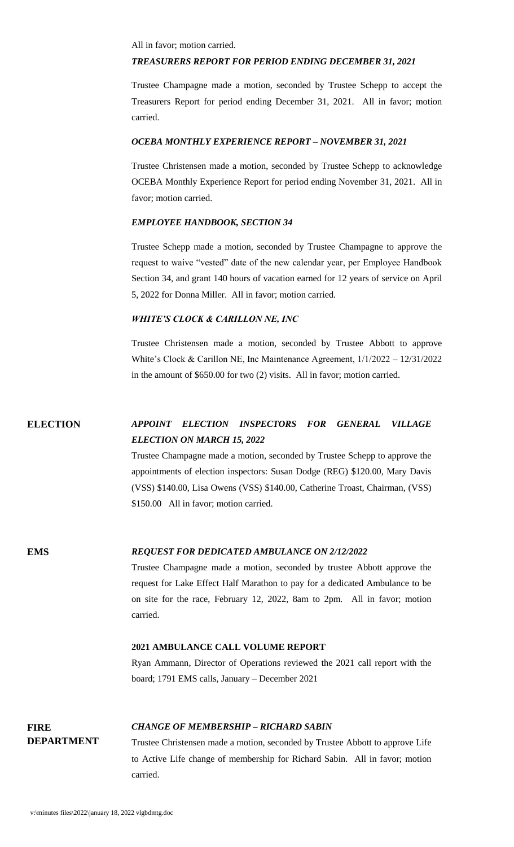All in favor; motion carried.

#### *TREASURERS REPORT FOR PERIOD ENDING DECEMBER 31, 2021*

Trustee Champagne made a motion, seconded by Trustee Schepp to accept the Treasurers Report for period ending December 31, 2021. All in favor; motion carried.

#### *OCEBA MONTHLY EXPERIENCE REPORT – NOVEMBER 31, 2021*

Trustee Christensen made a motion, seconded by Trustee Schepp to acknowledge OCEBA Monthly Experience Report for period ending November 31, 2021. All in favor; motion carried.

## *EMPLOYEE HANDBOOK, SECTION 34*

Trustee Schepp made a motion, seconded by Trustee Champagne to approve the request to waive "vested" date of the new calendar year, per Employee Handbook Section 34, and grant 140 hours of vacation earned for 12 years of service on April 5, 2022 for Donna Miller. All in favor; motion carried.

#### *WHITE'S CLOCK & CARILLON NE, INC*

Trustee Christensen made a motion, seconded by Trustee Abbott to approve White's Clock & Carillon NE, Inc Maintenance Agreement, 1/1/2022 – 12/31/2022 in the amount of \$650.00 for two (2) visits. All in favor; motion carried.

# **ELECTION** *APPOINT ELECTION INSPECTORS FOR GENERAL VILLAGE ELECTION ON MARCH 15, 2022*

Trustee Champagne made a motion, seconded by Trustee Schepp to approve the appointments of election inspectors: Susan Dodge (REG) \$120.00, Mary Davis (VSS) \$140.00, Lisa Owens (VSS) \$140.00, Catherine Troast, Chairman, (VSS) \$150.00 All in favor; motion carried.

#### **EMS** *REQUEST FOR DEDICATED AMBULANCE ON 2/12/2022*

Trustee Champagne made a motion, seconded by trustee Abbott approve the request for Lake Effect Half Marathon to pay for a dedicated Ambulance to be on site for the race, February 12, 2022, 8am to 2pm. All in favor; motion carried.

#### **2021 AMBULANCE CALL VOLUME REPORT**

Ryan Ammann, Director of Operations reviewed the 2021 call report with the board; 1791 EMS calls, January – December 2021

## **FIRE DEPARTMENT**

#### *CHANGE OF MEMBERSHIP – RICHARD SABIN*

Trustee Christensen made a motion, seconded by Trustee Abbott to approve Life to Active Life change of membership for Richard Sabin. All in favor; motion carried.